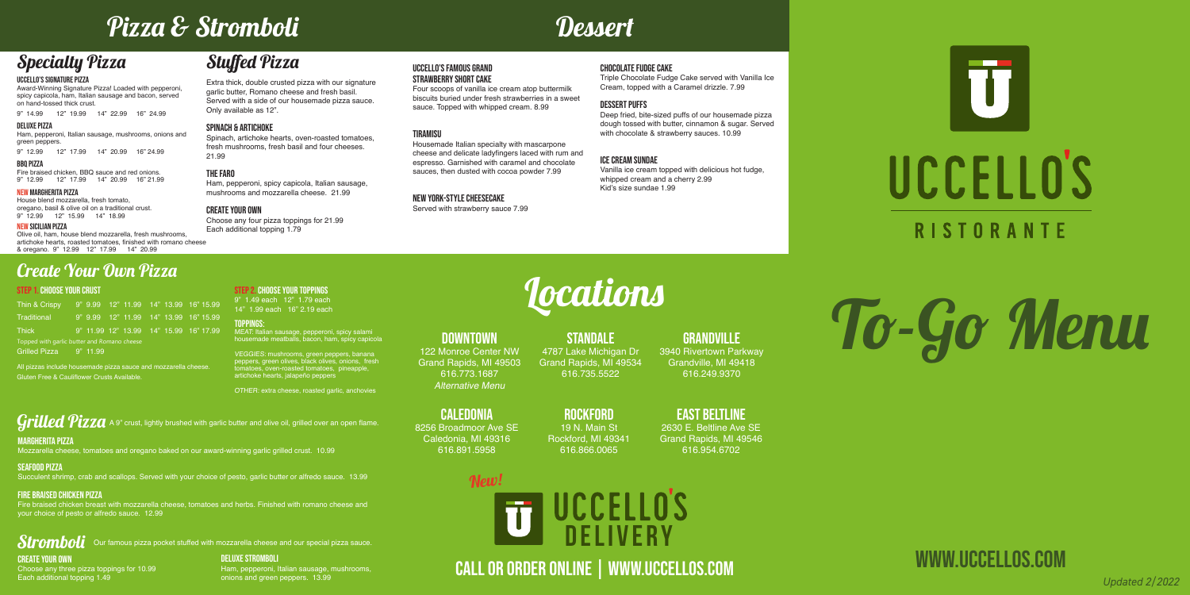# To-Go Menu

www.uccellos.com

#### UCCELLO'S SIGNATURE PIZZA

Award-Winning Signature Pizza! Loaded with pepperoni, spicy capicola, ham, Italian sausage and bacon, served on hand-tossed thick crust.

9" 14.99 12" 19.99 14" 22.99 16" 24.99

## Stuffed Pizza

Extra thick, double crusted pizza with our signature garlic butter, Romano cheese and fresh basil. Served with a side of our housemade pizza sauce. Only available as 12".

#### SPINACH & ARTICHOKE

Spinach, artichoke hearts, oven-roasted tomatoes, fresh mushrooms, fresh basil and four cheeses. 21.99

#### THE FARO

Ham, pepperoni, spicy capicola, Italian sausage, mushrooms and mozzarella cheese. 21.99

#### CREATE YOUR OWN

Choose any four pizza toppings for 21.99 Each additional topping 1.79

## Pizza & Stromboli Dessert

## Specialty Pizza

## $\it Stromboli$  Our famous pizza pocket stuffed with mozzarella cheese and our special pizza sauce. CREATE YOUR OWN

#### STEP 1. CHOOSE YOUR CRUST

| Thin & Crispy                               |  |  |  |  |  |  | 9" 9.99 12" 11.99 14" 13.99 16" 15.99  |
|---------------------------------------------|--|--|--|--|--|--|----------------------------------------|
| Traditional                                 |  |  |  |  |  |  | 9" 9.99 12" 11.99 14" 13.99 16" 15.99  |
| <b>Thick</b>                                |  |  |  |  |  |  | 9" 11.99 12" 13.99 14" 15.99 16" 17.99 |
| Topped with garlic butter and Romano cheese |  |  |  |  |  |  |                                        |
| Grilled Pizza 9" 11.99                      |  |  |  |  |  |  |                                        |

All pizzas include housemade pizza sauce and mozzarella cheese. Gluten Free & Cauliflower Crusts Available.

STEP 2. CHOOSE YOUR TOPPINGS 9" 1.49 each 12" 1.79 each 14" 1.99 each 16" 2.19 each

Toppings: MEAT: Italian sausage, pepperoni, spicy salami housemade meatballs, bacon, ham, spicy capicola

VEGGIES: mushrooms, green peppers, banana peppers, green olives, black olives, onions, fresh tomatoes, oven-roasted tomatoes, pineapple, artichoke hearts, jalapeño peppers

OTHER: extra cheese, roasted garlic, anchovies

 $Grilled~\!Pizza$  A 9" crust, lightly brushed with garlic butter and olive oil, grilled over an open flame.

## Create Your Own Pizza

Choose any three pizza toppings for 10.99 Each additional topping 1.49

DELUXE STROMBOLI

#### **STANDALE** 4787 Lake Michigan Dr Grand Rapids, MI 49534 616.735.5522

Ham, pepperoni, Italian sausage, mushrooms,

### **GRANDVILLE** 3940 Rivertown Parkway

onions and green peppers. 13.99

#### MARGHERITA PIZZA

Mozzarella cheese, tomatoes and oregano baked on our award-winning garlic grilled crust. 10.99

#### SEAFOOD PIZZA

Succulent shrimp, crab and scallops. Served with your choice of pesto, garlic butter or alfredo sauce. 13.99

#### fire braised chicken PIZZA

## New!UCCELLO'S **DELIVERY**

Fire braised chicken breast with mozzarella cheese, tomatoes and herbs. Finished with romano cheese and your choice of pesto or alfredo sauce. 12.99



#### Uccello's famous grand STRAWBErry Short CAKE

Four scoops of vanilla ice cream atop buttermilk biscuits buried under fresh strawberries in a sweet sauce. Topped with whipped cream. 8.99

#### **TIRAMISII**

Housemade Italian specialty with mascarpone cheese and delicate ladyfingers laced with rum and espresso. Garnished with caramel and chocolate sauces, then dusted with cocoa powder 7.99

#### New york-style cheesecake

Served with strawberry sauce 7.99

#### chocolate fudge cake

Triple Chocolate Fudge Cake served with Vanilla Ice Cream, topped with a Caramel drizzle. 7.99

#### DEssert puffs

Deep fried, bite-sized puffs of our housemade pizza dough tossed with butter, cinnamon & sugar. Served with chocolate & strawberry sauces. 10.99

#### ice cream sundae

Vanilla ice cream topped with delicious hot fudge, whipped cream and a cherry 2.99 Kid's size sundae 1.99

# **Locations**

Call or order online | www.uccellos.com *Updated 2/2022*

#### DOWNTOWN

122 Monroe Center NW Grand Rapids, MI 49503 616.773.1687 Alternative Menu

Grandville, MI 49418 616.249.9370

caledonia



8256 Broadmoor Ave SE Caledonia, MI 49316 616.891.5958

Rockford 19 N. Main St Rockford, MI 49341

616.866.0065

## EAST BELTLINE

2630 E. Beltline Ave SE Grand Rapids, MI 49546 616.954.6702

#### DELUXE PIZZA

Ham, pepperoni, Italian sausage, mushrooms, onions and green peppers.

9" 12.99 12" 17.99 14" 20.99 16" 24.99

#### BBQ PIZZA

Fire braised chicken, BBQ sauce and red onions. 9" 12.99 12" 17.99 14" 20.99 16" 21.99

#### NEW MARGHERITA PIZZA

House blend mozzarella, fresh tomato, oregano, basil & olive oil on a traditional crust. 9" 12.99 12" 15.99 14" 18.99

#### NEW SICILIAN PIZZA

Olive oil, ham, house blend mozzarella, fresh mushrooms, artichoke hearts, roasted tomatoes, finished with romano cheese & oregano. 9" 12.99 12" 17.99 14" 20.99